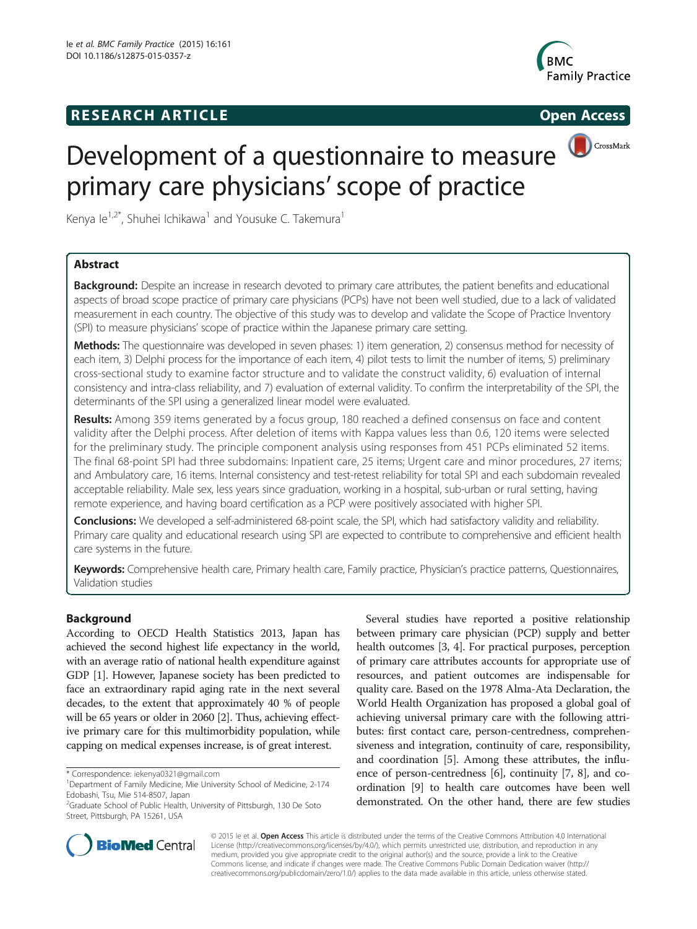# **RESEARCH ARTICLE Example 2014 CONSIDERING CONSIDERING CONSIDERING CONSIDERING CONSIDERING CONSIDERING CONSIDERING CONSIDERING CONSIDERING CONSIDERING CONSIDERING CONSIDERING CONSIDERING CONSIDERING CONSIDERING CONSIDE**



CrossMark



Kenya Ie $1,2^*$ , Shuhei Ichikawa<sup>1</sup> and Yousuke C. Takemura<sup>1</sup>

# Abstract

Background: Despite an increase in research devoted to primary care attributes, the patient benefits and educational aspects of broad scope practice of primary care physicians (PCPs) have not been well studied, due to a lack of validated measurement in each country. The objective of this study was to develop and validate the Scope of Practice Inventory (SPI) to measure physicians' scope of practice within the Japanese primary care setting.

Methods: The questionnaire was developed in seven phases: 1) item generation, 2) consensus method for necessity of each item, 3) Delphi process for the importance of each item, 4) pilot tests to limit the number of items, 5) preliminary cross-sectional study to examine factor structure and to validate the construct validity, 6) evaluation of internal consistency and intra-class reliability, and 7) evaluation of external validity. To confirm the interpretability of the SPI, the determinants of the SPI using a generalized linear model were evaluated.

Results: Among 359 items generated by a focus group, 180 reached a defined consensus on face and content validity after the Delphi process. After deletion of items with Kappa values less than 0.6, 120 items were selected for the preliminary study. The principle component analysis using responses from 451 PCPs eliminated 52 items. The final 68-point SPI had three subdomains: Inpatient care, 25 items; Urgent care and minor procedures, 27 items; and Ambulatory care, 16 items. Internal consistency and test-retest reliability for total SPI and each subdomain revealed acceptable reliability. Male sex, less years since graduation, working in a hospital, sub-urban or rural setting, having remote experience, and having board certification as a PCP were positively associated with higher SPI.

Conclusions: We developed a self-administered 68-point scale, the SPI, which had satisfactory validity and reliability. Primary care quality and educational research using SPI are expected to contribute to comprehensive and efficient health care systems in the future.

Keywords: Comprehensive health care, Primary health care, Family practice, Physician's practice patterns, Questionnaires, Validation studies

# Background

According to OECD Health Statistics 2013, Japan has achieved the second highest life expectancy in the world, with an average ratio of national health expenditure against GDP [[1](#page-8-0)]. However, Japanese society has been predicted to face an extraordinary rapid aging rate in the next several decades, to the extent that approximately 40 % of people will be 65 years or older in 2060 [[2](#page-8-0)]. Thus, achieving effective primary care for this multimorbidity population, while capping on medical expenses increase, is of great interest.

\* Correspondence: [iekenya0321@gmail.com](mailto:iekenya0321@gmail.com) <sup>1</sup>

Several studies have reported a positive relationship between primary care physician (PCP) supply and better health outcomes [[3](#page-8-0), [4](#page-8-0)]. For practical purposes, perception of primary care attributes accounts for appropriate use of resources, and patient outcomes are indispensable for quality care. Based on the 1978 Alma-Ata Declaration, the World Health Organization has proposed a global goal of achieving universal primary care with the following attributes: first contact care, person-centredness, comprehensiveness and integration, continuity of care, responsibility, and coordination [\[5](#page-8-0)]. Among these attributes, the influence of person-centredness [\[6](#page-8-0)], continuity [\[7](#page-8-0), [8\]](#page-8-0), and coordination [[9](#page-8-0)] to health care outcomes have been well demonstrated. On the other hand, there are few studies



© 2015 Ie et al. Open Access This article is distributed under the terms of the Creative Commons Attribution 4.0 International License ([http://creativecommons.org/licenses/by/4.0/\)](http://creativecommons.org/licenses/by/4.0/), which permits unrestricted use, distribution, and reproduction in any medium, provided you give appropriate credit to the original author(s) and the source, provide a link to the Creative Commons license, and indicate if changes were made. The Creative Commons Public Domain Dedication waiver ([http://](http://creativecommons.org/publicdomain/zero/1.0/) [creativecommons.org/publicdomain/zero/1.0/\)](http://creativecommons.org/publicdomain/zero/1.0/) applies to the data made available in this article, unless otherwise stated.

Department of Family Medicine, Mie University School of Medicine, 2-174 Edobashi, Tsu, Mie 514-8507, Japan

<sup>&</sup>lt;sup>2</sup>Graduate School of Public Health, University of Pittsburgh, 130 De Soto Street, Pittsburgh, PA 15261, USA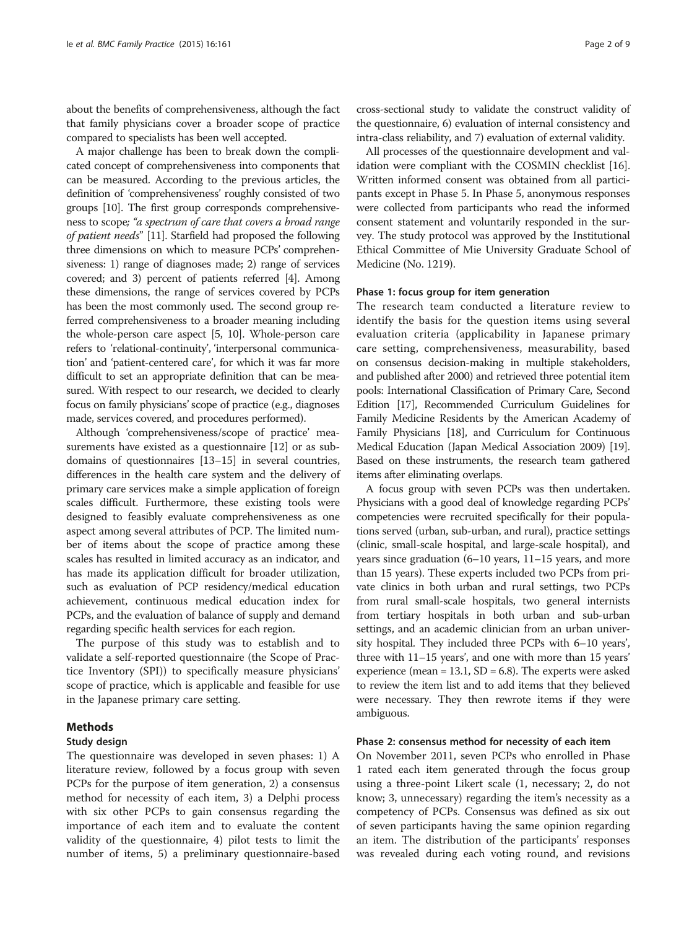about the benefits of comprehensiveness, although the fact that family physicians cover a broader scope of practice compared to specialists has been well accepted.

A major challenge has been to break down the complicated concept of comprehensiveness into components that can be measured. According to the previous articles, the definition of 'comprehensiveness' roughly consisted of two groups [[10](#page-8-0)]. The first group corresponds comprehensiveness to scope; "a spectrum of care that covers a broad range of patient needs" [\[11\]](#page-8-0). Starfield had proposed the following three dimensions on which to measure PCPs' comprehensiveness: 1) range of diagnoses made; 2) range of services covered; and 3) percent of patients referred [\[4](#page-8-0)]. Among these dimensions, the range of services covered by PCPs has been the most commonly used. The second group referred comprehensiveness to a broader meaning including the whole-person care aspect [[5](#page-8-0), [10\]](#page-8-0). Whole-person care refers to 'relational-continuity', 'interpersonal communication' and 'patient-centered care', for which it was far more difficult to set an appropriate definition that can be measured. With respect to our research, we decided to clearly focus on family physicians'scope of practice (e.g., diagnoses made, services covered, and procedures performed).

Although 'comprehensiveness/scope of practice' measurements have existed as a questionnaire [[12](#page-8-0)] or as subdomains of questionnaires [[13](#page-8-0)–[15\]](#page-8-0) in several countries, differences in the health care system and the delivery of primary care services make a simple application of foreign scales difficult. Furthermore, these existing tools were designed to feasibly evaluate comprehensiveness as one aspect among several attributes of PCP. The limited number of items about the scope of practice among these scales has resulted in limited accuracy as an indicator, and has made its application difficult for broader utilization, such as evaluation of PCP residency/medical education achievement, continuous medical education index for PCPs, and the evaluation of balance of supply and demand regarding specific health services for each region.

The purpose of this study was to establish and to validate a self-reported questionnaire (the Scope of Practice Inventory (SPI)) to specifically measure physicians' scope of practice, which is applicable and feasible for use in the Japanese primary care setting.

#### Methods

#### Study design

The questionnaire was developed in seven phases: 1) A literature review, followed by a focus group with seven PCPs for the purpose of item generation, 2) a consensus method for necessity of each item, 3) a Delphi process with six other PCPs to gain consensus regarding the importance of each item and to evaluate the content validity of the questionnaire, 4) pilot tests to limit the number of items, 5) a preliminary questionnaire-based

cross-sectional study to validate the construct validity of the questionnaire, 6) evaluation of internal consistency and intra-class reliability, and 7) evaluation of external validity.

All processes of the questionnaire development and validation were compliant with the COSMIN checklist [[16](#page-8-0)]. Written informed consent was obtained from all participants except in Phase 5. In Phase 5, anonymous responses were collected from participants who read the informed consent statement and voluntarily responded in the survey. The study protocol was approved by the Institutional Ethical Committee of Mie University Graduate School of Medicine (No. 1219).

#### Phase 1: focus group for item generation

The research team conducted a literature review to identify the basis for the question items using several evaluation criteria (applicability in Japanese primary care setting, comprehensiveness, measurability, based on consensus decision-making in multiple stakeholders, and published after 2000) and retrieved three potential item pools: International Classification of Primary Care, Second Edition [\[17](#page-8-0)], Recommended Curriculum Guidelines for Family Medicine Residents by the American Academy of Family Physicians [[18](#page-8-0)], and Curriculum for Continuous Medical Education (Japan Medical Association 2009) [\[19](#page-8-0)]. Based on these instruments, the research team gathered items after eliminating overlaps.

A focus group with seven PCPs was then undertaken. Physicians with a good deal of knowledge regarding PCPs' competencies were recruited specifically for their populations served (urban, sub-urban, and rural), practice settings (clinic, small-scale hospital, and large-scale hospital), and years since graduation (6–10 years, 11–15 years, and more than 15 years). These experts included two PCPs from private clinics in both urban and rural settings, two PCPs from rural small-scale hospitals, two general internists from tertiary hospitals in both urban and sub-urban settings, and an academic clinician from an urban university hospital. They included three PCPs with 6–10 years', three with 11–15 years', and one with more than 15 years' experience (mean =  $13.1$ , SD =  $6.8$ ). The experts were asked to review the item list and to add items that they believed were necessary. They then rewrote items if they were ambiguous.

#### Phase 2: consensus method for necessity of each item

On November 2011, seven PCPs who enrolled in Phase 1 rated each item generated through the focus group using a three-point Likert scale (1, necessary; 2, do not know; 3, unnecessary) regarding the item's necessity as a competency of PCPs. Consensus was defined as six out of seven participants having the same opinion regarding an item. The distribution of the participants' responses was revealed during each voting round, and revisions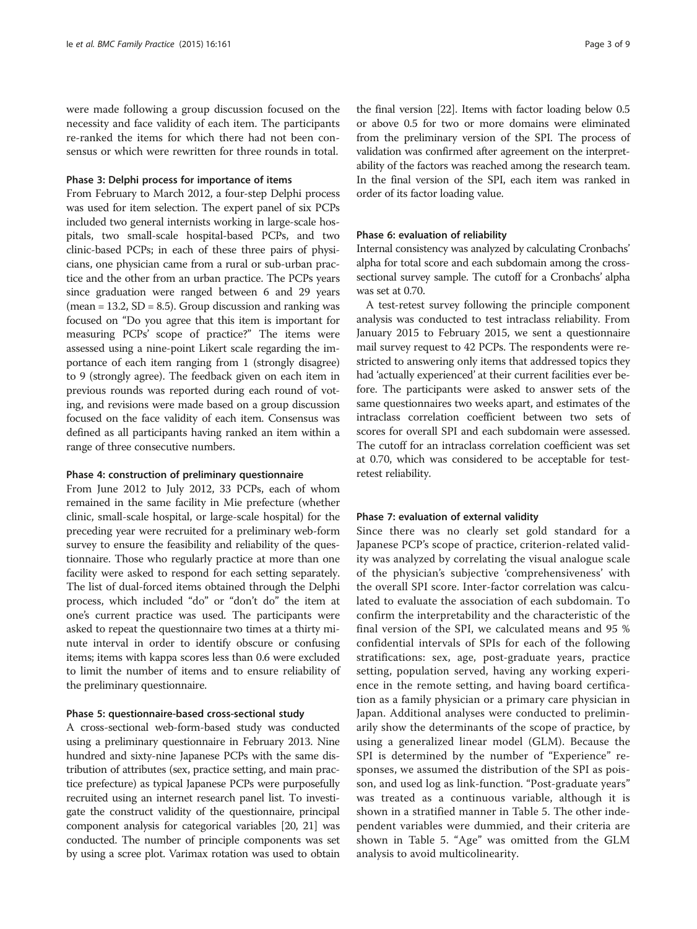were made following a group discussion focused on the necessity and face validity of each item. The participants re-ranked the items for which there had not been consensus or which were rewritten for three rounds in total.

#### Phase 3: Delphi process for importance of items

From February to March 2012, a four-step Delphi process was used for item selection. The expert panel of six PCPs included two general internists working in large-scale hospitals, two small-scale hospital-based PCPs, and two clinic-based PCPs; in each of these three pairs of physicians, one physician came from a rural or sub-urban practice and the other from an urban practice. The PCPs years since graduation were ranged between 6 and 29 years  $(mean = 13.2, SD = 8.5)$ . Group discussion and ranking was focused on "Do you agree that this item is important for measuring PCPs' scope of practice?" The items were assessed using a nine-point Likert scale regarding the importance of each item ranging from 1 (strongly disagree) to 9 (strongly agree). The feedback given on each item in previous rounds was reported during each round of voting, and revisions were made based on a group discussion focused on the face validity of each item. Consensus was defined as all participants having ranked an item within a range of three consecutive numbers.

#### Phase 4: construction of preliminary questionnaire

From June 2012 to July 2012, 33 PCPs, each of whom remained in the same facility in Mie prefecture (whether clinic, small-scale hospital, or large-scale hospital) for the preceding year were recruited for a preliminary web-form survey to ensure the feasibility and reliability of the questionnaire. Those who regularly practice at more than one facility were asked to respond for each setting separately. The list of dual-forced items obtained through the Delphi process, which included "do" or "don't do" the item at one's current practice was used. The participants were asked to repeat the questionnaire two times at a thirty minute interval in order to identify obscure or confusing items; items with kappa scores less than 0.6 were excluded to limit the number of items and to ensure reliability of the preliminary questionnaire.

#### Phase 5: questionnaire-based cross-sectional study

A cross-sectional web-form-based study was conducted using a preliminary questionnaire in February 2013. Nine hundred and sixty-nine Japanese PCPs with the same distribution of attributes (sex, practice setting, and main practice prefecture) as typical Japanese PCPs were purposefully recruited using an internet research panel list. To investigate the construct validity of the questionnaire, principal component analysis for categorical variables [\[20, 21](#page-8-0)] was conducted. The number of principle components was set by using a scree plot. Varimax rotation was used to obtain the final version [\[22\]](#page-8-0). Items with factor loading below 0.5 or above 0.5 for two or more domains were eliminated from the preliminary version of the SPI. The process of validation was confirmed after agreement on the interpretability of the factors was reached among the research team. In the final version of the SPI, each item was ranked in order of its factor loading value.

## Phase 6: evaluation of reliability

Internal consistency was analyzed by calculating Cronbachs' alpha for total score and each subdomain among the crosssectional survey sample. The cutoff for a Cronbachs' alpha was set at 0.70.

A test-retest survey following the principle component analysis was conducted to test intraclass reliability. From January 2015 to February 2015, we sent a questionnaire mail survey request to 42 PCPs. The respondents were restricted to answering only items that addressed topics they had 'actually experienced' at their current facilities ever before. The participants were asked to answer sets of the same questionnaires two weeks apart, and estimates of the intraclass correlation coefficient between two sets of scores for overall SPI and each subdomain were assessed. The cutoff for an intraclass correlation coefficient was set at 0.70, which was considered to be acceptable for testretest reliability.

#### Phase 7: evaluation of external validity

Since there was no clearly set gold standard for a Japanese PCP's scope of practice, criterion-related validity was analyzed by correlating the visual analogue scale of the physician's subjective 'comprehensiveness' with the overall SPI score. Inter-factor correlation was calculated to evaluate the association of each subdomain. To confirm the interpretability and the characteristic of the final version of the SPI, we calculated means and 95 % confidential intervals of SPIs for each of the following stratifications: sex, age, post-graduate years, practice setting, population served, having any working experience in the remote setting, and having board certification as a family physician or a primary care physician in Japan. Additional analyses were conducted to preliminarily show the determinants of the scope of practice, by using a generalized linear model (GLM). Because the SPI is determined by the number of "Experience" responses, we assumed the distribution of the SPI as poisson, and used log as link-function. "Post-graduate years" was treated as a continuous variable, although it is shown in a stratified manner in Table [5](#page-6-0). The other independent variables were dummied, and their criteria are shown in Table [5](#page-6-0). "Age" was omitted from the GLM analysis to avoid multicolinearity.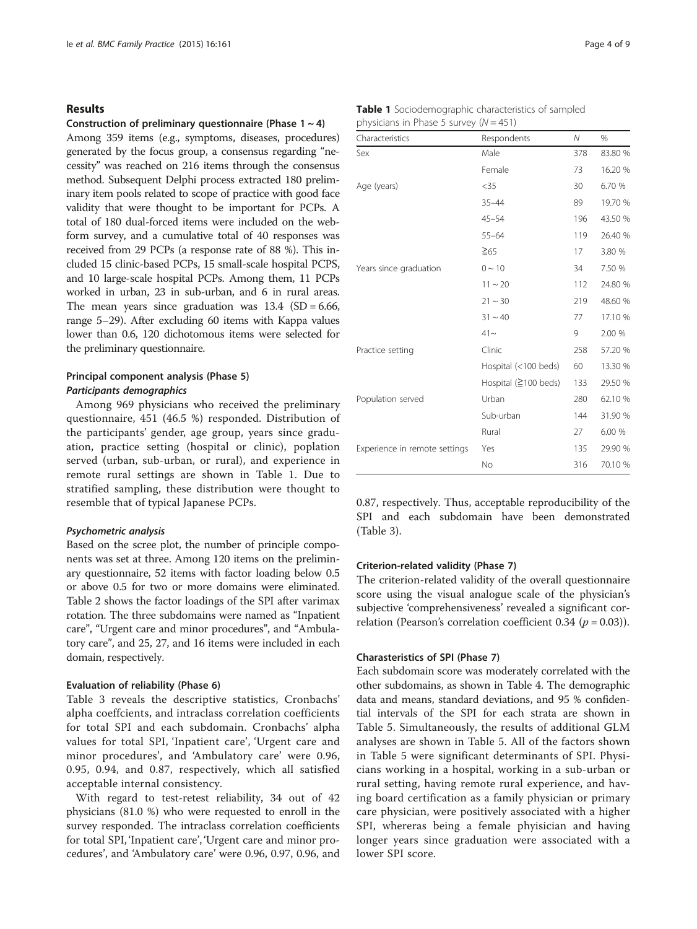#### Results

#### Construction of preliminary questionnaire (Phase  $1 \sim 4$ )

Among 359 items (e.g., symptoms, diseases, procedures) generated by the focus group, a consensus regarding "necessity" was reached on 216 items through the consensus method. Subsequent Delphi process extracted 180 preliminary item pools related to scope of practice with good face validity that were thought to be important for PCPs. A total of 180 dual-forced items were included on the webform survey, and a cumulative total of 40 responses was received from 29 PCPs (a response rate of 88 %). This included 15 clinic-based PCPs, 15 small-scale hospital PCPS, and 10 large-scale hospital PCPs. Among them, 11 PCPs worked in urban, 23 in sub-urban, and 6 in rural areas. The mean years since graduation was  $13.4$  (SD = 6.66, range 5–29). After excluding 60 items with Kappa values lower than 0.6, 120 dichotomous items were selected for the preliminary questionnaire.

# Principal component analysis (Phase 5) Participants demographics

Among 969 physicians who received the preliminary questionnaire, 451 (46.5 %) responded. Distribution of the participants' gender, age group, years since graduation, practice setting (hospital or clinic), poplation served (urban, sub-urban, or rural), and experience in remote rural settings are shown in Table 1. Due to stratified sampling, these distribution were thought to resemble that of typical Japanese PCPs.

#### Psychometric analysis

Based on the scree plot, the number of principle components was set at three. Among 120 items on the preliminary questionnaire, 52 items with factor loading below 0.5 or above 0.5 for two or more domains were eliminated. Table [2](#page-4-0) shows the factor loadings of the SPI after varimax rotation. The three subdomains were named as "Inpatient care", "Urgent care and minor procedures", and "Ambulatory care", and 25, 27, and 16 items were included in each domain, respectively.

#### Evaluation of reliability (Phase 6)

Table [3](#page-5-0) reveals the descriptive statistics, Cronbachs' alpha coeffcients, and intraclass correlation coefficients for total SPI and each subdomain. Cronbachs' alpha values for total SPI, 'Inpatient care', 'Urgent care and minor procedures', and 'Ambulatory care' were 0.96, 0.95, 0.94, and 0.87, respectively, which all satisfied acceptable internal consistency.

With regard to test-retest reliability, 34 out of 42 physicians (81.0 %) who were requested to enroll in the survey responded. The intraclass correlation coefficients for total SPI, 'Inpatient care', 'Urgent care and minor procedures', and 'Ambulatory care' were 0.96, 0.97, 0.96, and

|  |  | Table 1 Sociodemographic characteristics of sampled |  |
|--|--|-----------------------------------------------------|--|
|  |  | physicians in Phase 5 survey ( $N = 451$ )          |  |

| Characteristics               | Respondents          | $\mathcal N$ | $\%$    |
|-------------------------------|----------------------|--------------|---------|
| Sex                           | Male                 | 378          | 83.80 % |
|                               | Female               | 73           | 16.20 % |
| Age (years)                   | $<$ 35               | 30           | 6.70 %  |
|                               | $35 - 44$            | 89           | 19.70 % |
|                               | $45 - 54$            | 196          | 43.50 % |
|                               | $55 - 64$            | 119          | 26.40 % |
|                               | $\geq 65$            | 17           | 3.80 %  |
| Years since graduation        | $0 - 10$             | 34           | 7.50 %  |
|                               | $11 \sim 20$         | 112          | 24.80 % |
|                               | $21 - 30$            | 219          | 48.60 % |
|                               | $31 - 40$            | 77           | 17.10 % |
|                               | $41 -$               | 9            | 2.00 %  |
| Practice setting              | Clinic               | 258          | 57.20 % |
|                               | Hospital (<100 beds) | 60           | 13.30 % |
|                               | Hospital (≧100 beds) | 133          | 29.50 % |
| Population served             | Urban                | 280          | 62.10 % |
|                               | Sub-urban            | 144          | 31.90 % |
|                               | Rural                | 27           | 6.00 %  |
| Experience in remote settings | Yes                  | 135          | 29.90 % |
|                               | No                   | 316          | 70.10 % |

0.87, respectively. Thus, acceptable reproducibility of the SPI and each subdomain have been demonstrated (Table [3\)](#page-5-0).

#### Criterion-related validity (Phase 7)

The criterion-related validity of the overall questionnaire score using the visual analogue scale of the physician's subjective 'comprehensiveness' revealed a significant correlation (Pearson's correlation coefficient 0.34 ( $p = 0.03$ )).

#### Charasteristics of SPI (Phase 7)

Each subdomain score was moderately correlated with the other subdomains, as shown in Table [4](#page-5-0). The demographic data and means, standard deviations, and 95 % confidential intervals of the SPI for each strata are shown in Table [5.](#page-6-0) Simultaneously, the results of additional GLM analyses are shown in Table [5](#page-6-0). All of the factors shown in Table [5](#page-6-0) were significant determinants of SPI. Physicians working in a hospital, working in a sub-urban or rural setting, having remote rural experience, and having board certification as a family physician or primary care physician, were positively associated with a higher SPI, whereras being a female phyisician and having longer years since graduation were associated with a lower SPI score.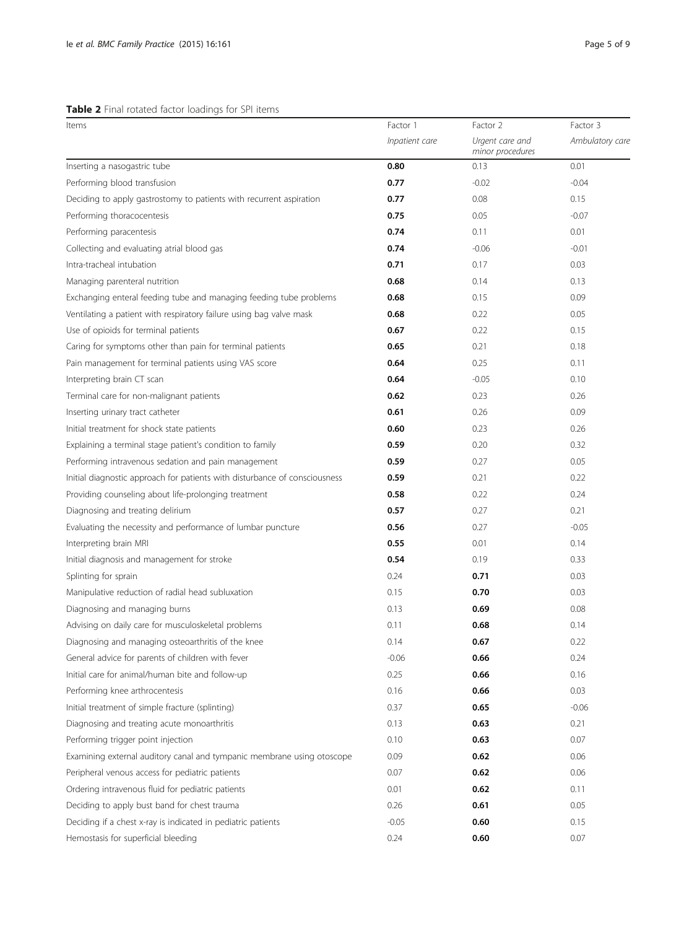# <span id="page-4-0"></span>Table 2 Final rotated factor loadings for SPI items

| $\mathbf{R}$ inter-rotated factor foadings for shiftening<br>Items         | Factor 1       | Factor 2         | Factor 3        |
|----------------------------------------------------------------------------|----------------|------------------|-----------------|
|                                                                            | Inpatient care | Urgent care and  | Ambulatory care |
|                                                                            |                | minor procedures |                 |
| Inserting a nasogastric tube                                               | 0.80           | 0.13             | 0.01            |
| Performing blood transfusion                                               | 0.77           | $-0.02$          | $-0.04$         |
| Deciding to apply gastrostomy to patients with recurrent aspiration        | 0.77           | 0.08             | 0.15            |
| Performing thoracocentesis                                                 | 0.75           | 0.05             | $-0.07$         |
| Performing paracentesis                                                    | 0.74           | 0.11             | 0.01            |
| Collecting and evaluating atrial blood gas                                 | 0.74           | $-0.06$          | $-0.01$         |
| Intra-tracheal intubation                                                  | 0.71           | 0.17             | 0.03            |
| Managing parenteral nutrition                                              | 0.68           | 0.14             | 0.13            |
| Exchanging enteral feeding tube and managing feeding tube problems         | 0.68           | 0.15             | 0.09            |
| Ventilating a patient with respiratory failure using bag valve mask        | 0.68           | 0.22             | 0.05            |
| Use of opioids for terminal patients                                       | 0.67           | 0.22             | 0.15            |
| Caring for symptoms other than pain for terminal patients                  | 0.65           | 0.21             | 0.18            |
| Pain management for terminal patients using VAS score                      | 0.64           | 0.25             | 0.11            |
| Interpreting brain CT scan                                                 | 0.64           | $-0.05$          | 0.10            |
| Terminal care for non-malignant patients                                   | 0.62           | 0.23             | 0.26            |
| Inserting urinary tract catheter                                           | 0.61           | 0.26             | 0.09            |
| Initial treatment for shock state patients                                 | 0.60           | 0.23             | 0.26            |
| Explaining a terminal stage patient's condition to family                  | 0.59           | 0.20             | 0.32            |
| Performing intravenous sedation and pain management                        | 0.59           | 0.27             | 0.05            |
| Initial diagnostic approach for patients with disturbance of consciousness | 0.59           | 0.21             | 0.22            |
| Providing counseling about life-prolonging treatment                       | 0.58           | 0.22             | 0.24            |
| Diagnosing and treating delirium                                           | 0.57           | 0.27             | 0.21            |
| Evaluating the necessity and performance of lumbar puncture                | 0.56           | 0.27             | $-0.05$         |
| Interpreting brain MRI                                                     | 0.55           | 0.01             | 0.14            |
| Initial diagnosis and management for stroke                                | 0.54           | 0.19             | 0.33            |
| Splinting for sprain                                                       | 0.24           | 0.71             | 0.03            |
| Manipulative reduction of radial head subluxation                          | 0.15           | 0.70             | 0.03            |
| Diagnosing and managing burns                                              | 0.13           | 0.69             | 0.08            |
| Advising on daily care for musculoskeletal problems                        | 0.11           | 0.68             | 0.14            |
| Diagnosing and managing osteoarthritis of the knee                         | 0.14           | 0.67             | 0.22            |
| General advice for parents of children with fever                          | $-0.06$        | 0.66             | 0.24            |
| Initial care for animal/human bite and follow-up                           | 0.25           | 0.66             | 0.16            |
| Performing knee arthrocentesis                                             | 0.16           | 0.66             | 0.03            |
| Initial treatment of simple fracture (splinting)                           | 0.37           | 0.65             | $-0.06$         |
| Diagnosing and treating acute monoarthritis                                | 0.13           | 0.63             | 0.21            |
| Performing trigger point injection                                         | 0.10           | 0.63             | 0.07            |
| Examining external auditory canal and tympanic membrane using otoscope     | 0.09           | 0.62             | 0.06            |
| Peripheral venous access for pediatric patients                            | 0.07           | 0.62             | 0.06            |
| Ordering intravenous fluid for pediatric patients                          | 0.01           | 0.62             | 0.11            |
| Deciding to apply bust band for chest trauma                               | 0.26           | 0.61             | 0.05            |
| Deciding if a chest x-ray is indicated in pediatric patients               | $-0.05$        | 0.60             | 0.15            |
| Hemostasis for superficial bleeding                                        | 0.24           | 0.60             | 0.07            |
|                                                                            |                |                  |                 |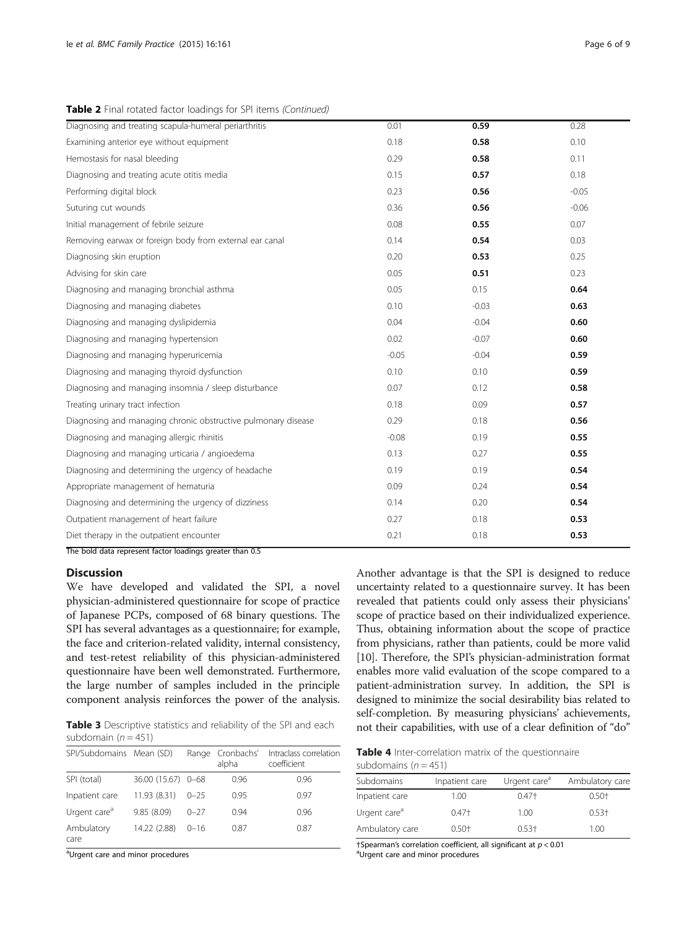<span id="page-5-0"></span>

| 0.18    |      |                                                                                                                                                                                                          |
|---------|------|----------------------------------------------------------------------------------------------------------------------------------------------------------------------------------------------------------|
|         | 0.58 | 0.10                                                                                                                                                                                                     |
| 0.29    |      | 0.11                                                                                                                                                                                                     |
| 0.15    |      | 0.18                                                                                                                                                                                                     |
| 0.23    |      | $-0.05$                                                                                                                                                                                                  |
| 0.36    |      | $-0.06$                                                                                                                                                                                                  |
| 0.08    |      | 0.07                                                                                                                                                                                                     |
| 0.14    |      | 0.03                                                                                                                                                                                                     |
| 0.20    |      | 0.25                                                                                                                                                                                                     |
| 0.05    |      | 0.23                                                                                                                                                                                                     |
| 0.05    |      | 0.64                                                                                                                                                                                                     |
| 0.10    |      | 0.63                                                                                                                                                                                                     |
| 0.04    |      | 0.60                                                                                                                                                                                                     |
| 0.02    |      | 0.60                                                                                                                                                                                                     |
| $-0.05$ |      | 0.59                                                                                                                                                                                                     |
| 0.10    |      | 0.59                                                                                                                                                                                                     |
| 0.07    |      | 0.58                                                                                                                                                                                                     |
| 0.18    |      | 0.57                                                                                                                                                                                                     |
| 0.29    |      | 0.56                                                                                                                                                                                                     |
| $-0.08$ |      | 0.55                                                                                                                                                                                                     |
| 0.13    |      | 0.55                                                                                                                                                                                                     |
| 0.19    |      | 0.54                                                                                                                                                                                                     |
| 0.09    |      | 0.54                                                                                                                                                                                                     |
| 0.14    |      | 0.54                                                                                                                                                                                                     |
| 0.27    |      | 0.53                                                                                                                                                                                                     |
| 0.21    |      | 0.53                                                                                                                                                                                                     |
|         |      | 0.58<br>0.57<br>0.56<br>0.56<br>0.55<br>0.54<br>0.53<br>0.51<br>0.15<br>$-0.03$<br>$-0.04$<br>$-0.07$<br>$-0.04$<br>0.10<br>0.12<br>0.09<br>0.18<br>0.19<br>0.27<br>0.19<br>0.24<br>0.20<br>0.18<br>0.18 |

#### **Discussion**

We have developed and validated the SPI, a novel physician-administered questionnaire for scope of practice of Japanese PCPs, composed of 68 binary questions. The SPI has several advantages as a questionnaire; for example, the face and criterion-related validity, internal consistency, and test-retest reliability of this physician-administered questionnaire have been well demonstrated. Furthermore, the large number of samples included in the principle component analysis reinforces the power of the analysis.

**Table 3** Descriptive statistics and reliability of the SPI and each not their capabilities, with use of a clear definition of "do" subdomain ( $n = 451$ )

| SPI/Subdomains Mean (SD) |                    |          | Range Cronbachs'<br>alpha | Intraclass correlation<br>coefficient |
|--------------------------|--------------------|----------|---------------------------|---------------------------------------|
| SPI (total)              | 36.00 (15.67) 0-68 |          | 0.96                      | 0.96                                  |
| Inpatient care           | 11.93 (8.31)       | $0 - 25$ | 0.95                      | 0.97                                  |
| Urgent care <sup>a</sup> | 9.85 (8.09)        | $0 - 27$ | 0.94                      | 0.96                                  |
| Ambulatory<br>care       | 14.22 (2.88)       | $0 - 16$ | 0.87                      | 0.87                                  |

aUrgent care and minor procedures

Another advantage is that the SPI is designed to reduce uncertainty related to a questionnaire survey. It has been revealed that patients could only assess their physicians' scope of practice based on their individualized experience. Thus, obtaining information about the scope of practice from physicians, rather than patients, could be more valid [[10](#page-8-0)]. Therefore, the SPI's physician-administration format enables more valid evaluation of the scope compared to a patient-administration survey. In addition, the SPI is designed to minimize the social desirability bias related to self-completion. By measuring physicians' achievements,

Table 4 Inter-correlation matrix of the questionnaire subdomains  $(n = 451)$ 

| Subdomains               | Inpatient care | Urgent care <sup>d</sup> | Ambulatory care |
|--------------------------|----------------|--------------------------|-----------------|
| Inpatient care           | 1.00           | $0.47+$                  | $0.50+$         |
| Urgent care <sup>a</sup> | $0.47 +$       | 1.00                     | $0.53+$         |
| Ambulatory care          | $0.50+$        | $0.53 +$                 | 1.00            |

†Spearman's correlation coefficient, all significant at  $p < 0.01$ <sup>a</sup>Urgent care and minor procedures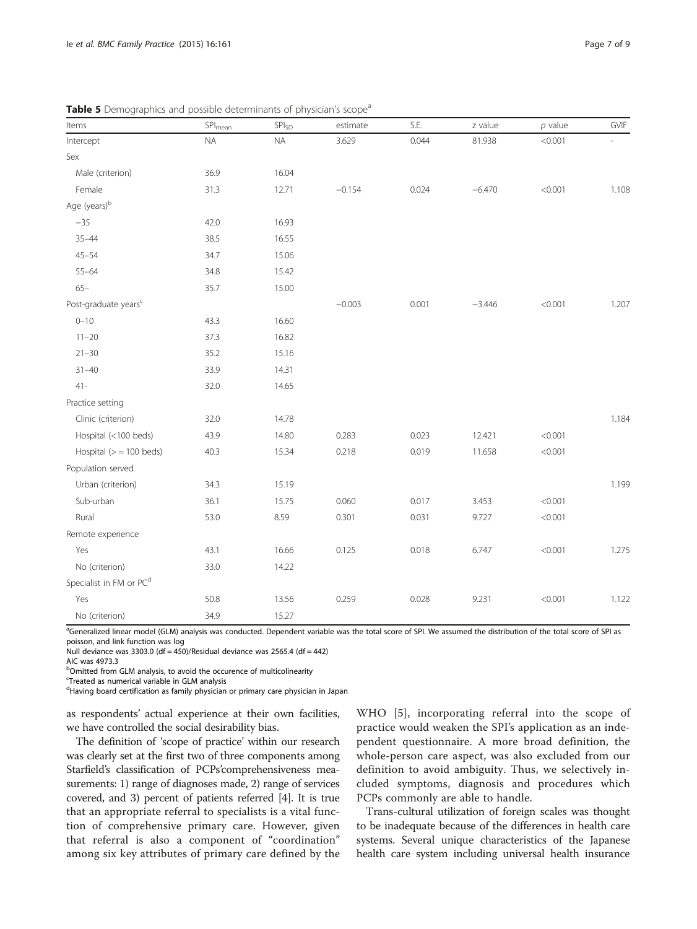| Items                               | $\mathsf{SPI}_{\mathsf{mean}}$ | SPI <sub>SD</sub> | estimate | S.E.  | z value  | $p$ value | GVIF  |
|-------------------------------------|--------------------------------|-------------------|----------|-------|----------|-----------|-------|
| Intercept                           | $\sf NA$                       | $\sf NA$          | 3.629    | 0.044 | 81.938   | < 0.001   |       |
| Sex                                 |                                |                   |          |       |          |           |       |
| Male (criterion)                    | 36.9                           | 16.04             |          |       |          |           |       |
| Female                              | 31.3                           | 12.71             | $-0.154$ | 0.024 | $-6.470$ | < 0.001   | 1.108 |
| Age (years) <sup>b</sup>            |                                |                   |          |       |          |           |       |
| $-35$                               | 42.0                           | 16.93             |          |       |          |           |       |
| $35 - 44$                           | 38.5                           | 16.55             |          |       |          |           |       |
| $45 - 54$                           | 34.7                           | 15.06             |          |       |          |           |       |
| $55 - 64$                           | 34.8                           | 15.42             |          |       |          |           |       |
| $65 -$                              | 35.7                           | 15.00             |          |       |          |           |       |
| Post-graduate years <sup>c</sup>    |                                |                   | $-0.003$ | 0.001 | $-3.446$ | < 0.001   | 1.207 |
| $0 - 10$                            | 43.3                           | 16.60             |          |       |          |           |       |
| $11 - 20$                           | 37.3                           | 16.82             |          |       |          |           |       |
| $21 - 30$                           | 35.2                           | 15.16             |          |       |          |           |       |
| $31 - 40$                           | 33.9                           | 14.31             |          |       |          |           |       |
| $41 -$                              | 32.0                           | 14.65             |          |       |          |           |       |
| Practice setting                    |                                |                   |          |       |          |           |       |
| Clinic (criterion)                  | 32.0                           | 14.78             |          |       |          |           | 1.184 |
| Hospital (<100 beds)                | 43.9                           | 14.80             | 0.283    | 0.023 | 12.421   | < 0.001   |       |
| Hospital $(>= 100$ beds)            | 40.3                           | 15.34             | 0.218    | 0.019 | 11.658   | < 0.001   |       |
| Population served                   |                                |                   |          |       |          |           |       |
| Urban (criterion)                   | 34.3                           | 15.19             |          |       |          |           | 1.199 |
| Sub-urban                           | 36.1                           | 15.75             | 0.060    | 0.017 | 3.453    | < 0.001   |       |
| Rural                               | 53.0                           | 8.59              | 0.301    | 0.031 | 9.727    | < 0.001   |       |
| Remote experience                   |                                |                   |          |       |          |           |       |
| Yes                                 | 43.1                           | 16.66             | 0.125    | 0.018 | 6.747    | < 0.001   | 1.275 |
| No (criterion)                      | 33.0                           | 14.22             |          |       |          |           |       |
| Specialist in FM or PC <sup>d</sup> |                                |                   |          |       |          |           |       |
| Yes                                 | 50.8                           | 13.56             | 0.259    | 0.028 | 9.231    | < 0.001   | 1.122 |
| No (criterion)                      | 34.9                           | 15.27             |          |       |          |           |       |

<span id="page-6-0"></span>**Table 5** Demographics and possible determinants of physician's scope<sup>a</sup>

<sup>a</sup>Generalized linear model (GLM) analysis was conducted. Dependent variable was the total score of SPI. We assumed the distribution of the total score of SPI as poisson, and link function was log

Null deviance was 3303.0 (df = 450)/Residual deviance was 2565.4 (df = 442)

AIC was 4973.3

<sup>b</sup>Omitted from GLM analysis, to avoid the occurence of multicolinearity

<sup>c</sup>Treated as numerical variable in GLM analysis

<sup>d</sup>Having board certification as family physician or primary care physician in Japan

as respondents' actual experience at their own facilities, we have controlled the social desirability bias.

The definition of 'scope of practice' within our research was clearly set at the first two of three components among Starfield's classification of PCPs'comprehensiveness measurements: 1) range of diagnoses made, 2) range of services covered, and 3) percent of patients referred [\[4\]](#page-8-0). It is true that an appropriate referral to specialists is a vital function of comprehensive primary care. However, given that referral is also a component of "coordination" among six key attributes of primary care defined by the

WHO [[5\]](#page-8-0), incorporating referral into the scope of practice would weaken the SPI's application as an independent questionnaire. A more broad definition, the whole-person care aspect, was also excluded from our definition to avoid ambiguity. Thus, we selectively included symptoms, diagnosis and procedures which PCPs commonly are able to handle.

Trans-cultural utilization of foreign scales was thought to be inadequate because of the differences in health care systems. Several unique characteristics of the Japanese health care system including universal health insurance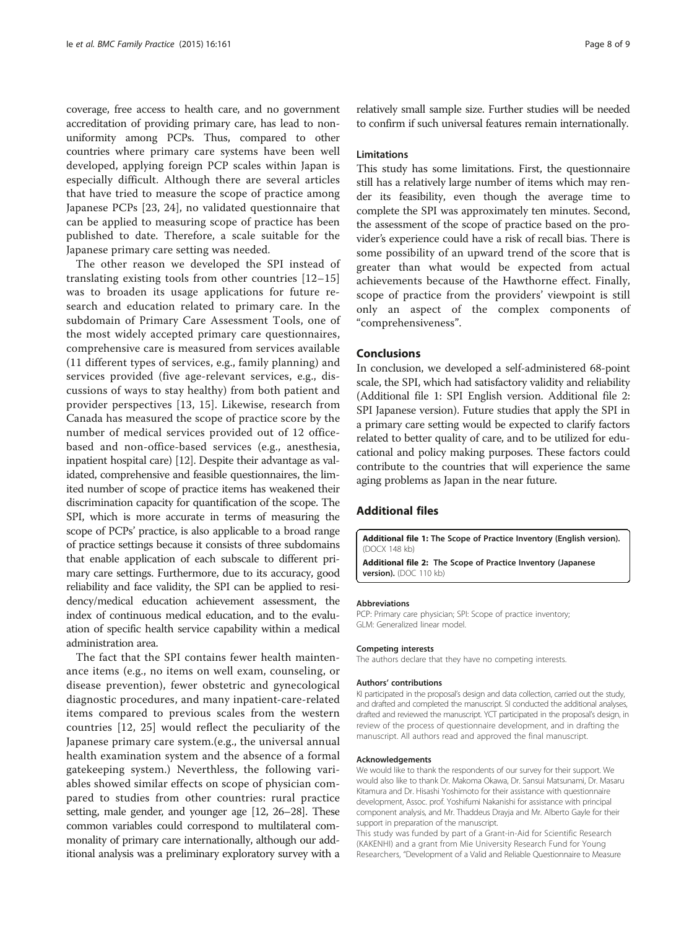coverage, free access to health care, and no government accreditation of providing primary care, has lead to nonuniformity among PCPs. Thus, compared to other countries where primary care systems have been well developed, applying foreign PCP scales within Japan is especially difficult. Although there are several articles that have tried to measure the scope of practice among Japanese PCPs [\[23](#page-8-0), [24](#page-8-0)], no validated questionnaire that can be applied to measuring scope of practice has been published to date. Therefore, a scale suitable for the Japanese primary care setting was needed.

The other reason we developed the SPI instead of translating existing tools from other countries [[12](#page-8-0)–[15](#page-8-0)] was to broaden its usage applications for future research and education related to primary care. In the subdomain of Primary Care Assessment Tools, one of the most widely accepted primary care questionnaires, comprehensive care is measured from services available (11 different types of services, e.g., family planning) and services provided (five age-relevant services, e.g., discussions of ways to stay healthy) from both patient and provider perspectives [[13](#page-8-0), [15](#page-8-0)]. Likewise, research from Canada has measured the scope of practice score by the number of medical services provided out of 12 officebased and non-office-based services (e.g., anesthesia, inpatient hospital care) [[12](#page-8-0)]. Despite their advantage as validated, comprehensive and feasible questionnaires, the limited number of scope of practice items has weakened their discrimination capacity for quantification of the scope. The SPI, which is more accurate in terms of measuring the scope of PCPs' practice, is also applicable to a broad range of practice settings because it consists of three subdomains that enable application of each subscale to different primary care settings. Furthermore, due to its accuracy, good reliability and face validity, the SPI can be applied to residency/medical education achievement assessment, the index of continuous medical education, and to the evaluation of specific health service capability within a medical administration area.

The fact that the SPI contains fewer health maintenance items (e.g., no items on well exam, counseling, or disease prevention), fewer obstetric and gynecological diagnostic procedures, and many inpatient-care-related items compared to previous scales from the western countries [\[12, 25](#page-8-0)] would reflect the peculiarity of the Japanese primary care system.(e.g., the universal annual health examination system and the absence of a formal gatekeeping system.) Neverthless, the following variables showed similar effects on scope of physician compared to studies from other countries: rural practice setting, male gender, and younger age [\[12](#page-8-0), [26](#page-8-0)–[28\]](#page-8-0). These common variables could correspond to multilateral commonality of primary care internationally, although our additional analysis was a preliminary exploratory survey with a

relatively small sample size. Further studies will be needed to confirm if such universal features remain internationally.

#### Limitations

This study has some limitations. First, the questionnaire still has a relatively large number of items which may render its feasibility, even though the average time to complete the SPI was approximately ten minutes. Second, the assessment of the scope of practice based on the provider's experience could have a risk of recall bias. There is some possibility of an upward trend of the score that is greater than what would be expected from actual achievements because of the Hawthorne effect. Finally, scope of practice from the providers' viewpoint is still only an aspect of the complex components of "comprehensiveness".

### Conclusions

In conclusion, we developed a self-administered 68-point scale, the SPI, which had satisfactory validity and reliability (Additional file 1: SPI English version. Additional file 2: SPI Japanese version). Future studies that apply the SPI in a primary care setting would be expected to clarify factors related to better quality of care, and to be utilized for educational and policy making purposes. These factors could contribute to the countries that will experience the same aging problems as Japan in the near future.

### Additional files

[Additional file 1:](dx.doi.org/10.1186/s12875-015-0357-z) The Scope of Practice Inventory (English version). (DOCX 148 kb)

[Additional file 2:](dx.doi.org/10.1186/s12875-015-0357-z) The Scope of Practice Inventory (Japanese version). (DOC 110 kb)

#### Abbreviations

PCP: Primary care physician; SPI: Scope of practice inventory; GLM: Generalized linear model.

#### Competing interests

The authors declare that they have no competing interests.

#### Authors' contributions

KI participated in the proposal's design and data collection, carried out the study, and drafted and completed the manuscript. SI conducted the additional analyses, drafted and reviewed the manuscript. YCT participated in the proposal's design, in review of the process of questionnaire development, and in drafting the manuscript. All authors read and approved the final manuscript.

#### Acknowledgements

We would like to thank the respondents of our survey for their support. We would also like to thank Dr. Makoma Okawa, Dr. Sansui Matsunami, Dr. Masaru Kitamura and Dr. Hisashi Yoshimoto for their assistance with questionnaire development, Assoc. prof. Yoshifumi Nakanishi for assistance with principal component analysis, and Mr. Thaddeus Drayja and Mr. Alberto Gayle for their support in preparation of the manuscript.

This study was funded by part of a Grant-in-Aid for Scientific Research (KAKENHI) and a grant from Mie University Research Fund for Young Researchers, "Development of a Valid and Reliable Questionnaire to Measure